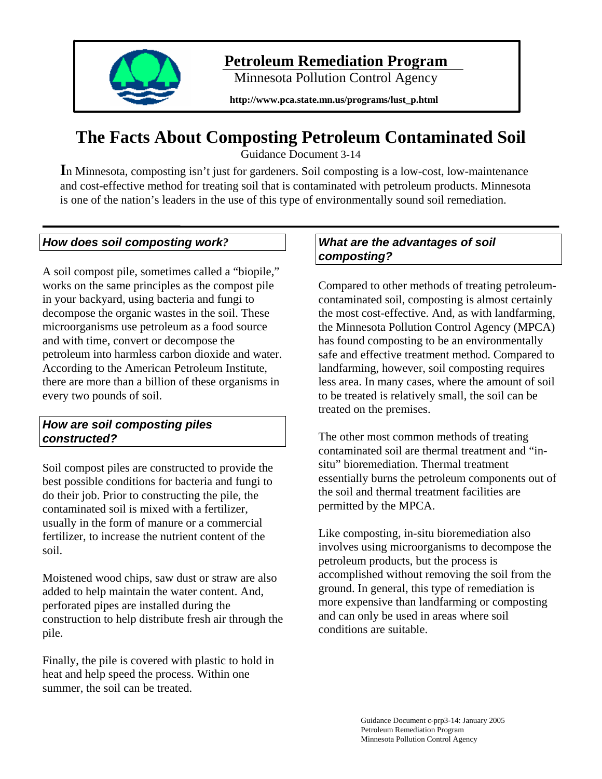

# **Petroleum Remediation Program**

Minnesota Pollution Control Agency

**http://www.pca.state.mn.us/programs/lust\_p.html** 

# **The Facts About Composting Petroleum Contaminated Soil**

Guidance Document 3-14

**I**n Minnesota, composting isn't just for gardeners. Soil composting is a low-cost, low-maintenance and cost-effective method for treating soil that is contaminated with petroleum products. Minnesota is one of the nation's leaders in the use of this type of environmentally sound soil remediation.

## *How does soil composting work?*

A soil compost pile, sometimes called a "biopile," works on the same principles as the compost pile in your backyard, using bacteria and fungi to decompose the organic wastes in the soil. These microorganisms use petroleum as a food source and with time, convert or decompose the petroleum into harmless carbon dioxide and water. According to the American Petroleum Institute, there are more than a billion of these organisms in every two pounds of soil.

#### *How are soil composting piles constructed?*

Soil compost piles are constructed to provide the best possible conditions for bacteria and fungi to do their job. Prior to constructing the pile, the contaminated soil is mixed with a fertilizer, usually in the form of manure or a commercial fertilizer, to increase the nutrient content of the soil.

Moistened wood chips, saw dust or straw are also added to help maintain the water content. And, perforated pipes are installed during the construction to help distribute fresh air through the pile.

Finally, the pile is covered with plastic to hold in heat and help speed the process. Within one summer, the soil can be treated.

## *What are the advantages of soil composting?*

Compared to other methods of treating petroleumcontaminated soil, composting is almost certainly the most cost-effective. And, as with landfarming, the Minnesota Pollution Control Agency (MPCA) has found composting to be an environmentally safe and effective treatment method. Compared to landfarming, however, soil composting requires less area. In many cases, where the amount of soil to be treated is relatively small, the soil can be treated on the premises.

The other most common methods of treating contaminated soil are thermal treatment and "insitu" bioremediation. Thermal treatment essentially burns the petroleum components out of the soil and thermal treatment facilities are permitted by the MPCA.

Like composting, in-situ bioremediation also involves using microorganisms to decompose the petroleum products, but the process is accomplished without removing the soil from the ground. In general, this type of remediation is more expensive than landfarming or composting and can only be used in areas where soil conditions are suitable.